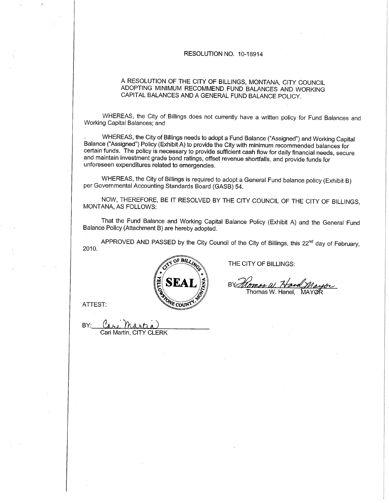#### RESOLUTION NO. 10-18914

# A RESOLUTION OF THE CITY OF BILLINGS, MONTANA, CITY COUNCIL ADOPTING MINIMUM RECOMMEND FUND BALANCES AND WORKING CAPITAL BALANCES AND A GENERAL FUND BALANCE POLICY.

WHEREAS, the City of Billings does not currently have a written policy for Fund Balances and Working Capital Balances; and

WHEREAS, the City of Billings needs to adopt a Fund Balance ("Assigned") and Working Capital Balance ("Assigned") Policy (Exhibit A) to provide the City with minimum recommended balances for certain funds. The policy ís necessary to provide sufficient cash flow for daily financial needs, secure and maintain investment grade bond ratings, offset revenue shortfalls, and provide funds for unforeseen expenditures related to emergencies.

WHEREAS, the City of Billings is required to adopt a General Fund balance policy (Exhibit B) per Governmental Accounting Standards Board (GASB) 54.

NOW, THEREFORE, BE IT RESOLVED BY THE CITY COUNCIL OF THE CITY OF BILLINGS, MONTANA, AS FOLLOWS:

That the Fund Balance and Working Capital Balance Policy (Exhibit A) and the General Fund Balance Policy (Attachment B) are hereby adopted.

APPROVED AND PASSED by the City Council of the City of Billings, this 22<sup>nd</sup> day of February, 2010.



THE CITY OF BILLINGS:

R١ Thomas W. Hanel. **MAYOR** 

ATTEST:

BY: *Cari Martia)*<br>Cari Martin, CITY CLERK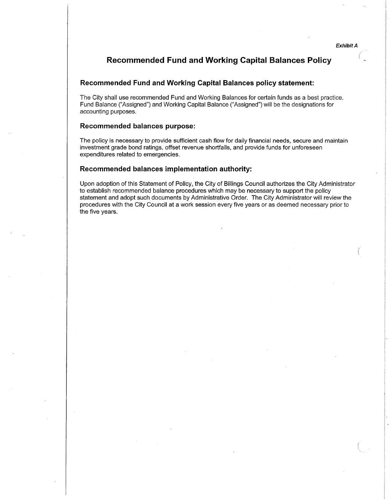# Recommended Fund and Working Gapital Balances Policy

## Recommended Fund and Working Capital Balances policy statement:

The City shall use recommended Fund and Working Balances for certain funds as a best practice. Fund Balance ("Assigned") and Working Capital Balance ("Assigned") will be the designations for accounting purposes.

# Recommended balances purpose:

The policy is necessary to provide sufficient cash flow for daily financial needs, secure and maintain investment grade bond ratings, offset revenue shortfalls, and provide funds for unforeseen expenditures related to emergencies.

## Recommended balances implementation authority:

Upon adoption of this Statement of Policy, the City of Billings Council authorizes the City Administrator to establish recommended balance procedures which may be necessary to support the policy statement and adopt such documents by Administrative Order. The City Administrator will review the procedures with the City Council at a work session every five years or as deemed necessary prior to the five years.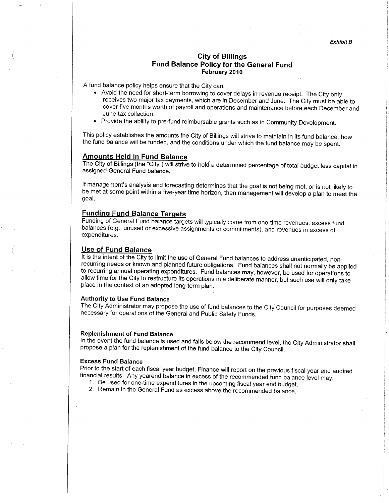# City of Billings Fund Balance Policy for the General Fund February 2010

A fund balance policy helps ensure that the City can:

- . Avoid the need for short-term borrowing to cover delays in revenue receipt. The City only receives two major tax payments, which are in December and June. The City must be able to cover five months worth of payroll and operations and maintenance before each December and June tax collection.
- . Provide the ability to pre-fund reimbursable grants such as in Community Development.

This policy establishes the amounts the City of Billings will strive to maintain in its fund balance, how the fund balance will be funded, and the conditions under which the fund balance mav be soent.

## Amounts Held in Fund Balance

The City of Billings (the "City") will strive to hold a determined percentage of total budget less capital in assigned General Fund balance.

lf management's analysis and forecasting determines that the goal is not being met, or is not likely to be met at some point within a five-year time horizon, then management will develop a plan to meet the goal.

# Fundinq Fund Balance Tarqets

Funding of General Fund balance targets will typically come from one-time revenues, excess fund balances (e.9., unused or excessive assignments or commitments), and revenues in excess of expenditures.

Use of Fund Balance<br>It is the intent of the City to limit the use of General Fund balances to address unanticipated, nonrecurring needs or known and planned future obligations. Fund balances shall not normally be applied to recurring annual operating expenditures. Fund balances may, however, be used for operations to allow time for the City to restructure its operations in a deliberate manner, but such use will only take place in the context of an adopted long-term plan.

#### Authority to Use Fund Balance

The City Administrator may propose the use of fund balances to the City Council for purposes deemed necessary for operations of the General and Public Safety Funds.

#### Replenishment of Fund Balance

ln the event the fund balance is used and falls below the recommend level, the City Administrator shall propose a plan for the replenishment of the fund balance to the city council.

#### Excess Fund Balance

Prior to the start of each fiscal year budget, Finance will report on the previous fiscal year end audited financial results. Any yearend balance in excess of the recommended fund balance level may:<br>1. Be used for one-time

- 
-